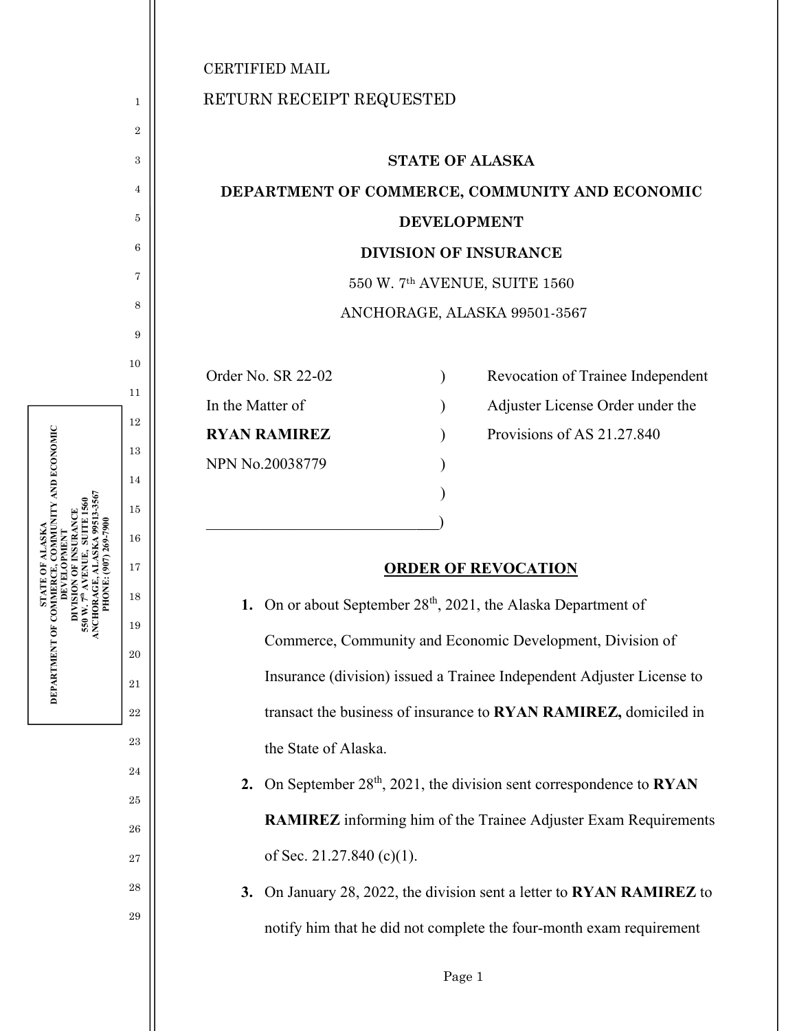1

2

3

4

5

6

7

8

9

10

11

12

13

14

15

16

17

**STATE OF ALASKA DEPARTMENT OF COMMERCE, COMMUNITY AND ECONOMIC DEVELOPMENT DIVISION OF INSURANCE 550 W. 7th AVENUE, SUITE 1560 ANCHORAGE, ALASKA 99513-3567 PHONE: (907) 269-7900** 

DEPARTMENT OF COMMERCE,

⊠

? ALASKA<br>, COMMUNITY AND ECONOMIC

18

19

20

21

22

23

24

25

26

27

28

29

## RETURN RECEIPT REQUESTED

## **STATE OF ALASKA DEPARTMENT OF COMMERCE, COMMUNITY AND ECONOMIC DEVELOPMENT DIVISION OF INSURANCE**  550 W. 7th AVENUE, SUITE 1560 ANCHORAGE, ALASKA 99501-3567

NPN No.20038779 )

 $)$ 

 $\qquad \qquad \Box$ 

Order No. SR 22-02 (a) Revocation of Trainee Independent

In the Matter of (a) Adjuster License Order under the

**RYAN RAMIREZ** ) Provisions of AS 21.27.840

## **ORDER OF REVOCATION**

**1.** On or about September 28<sup>th</sup>, 2021, the Alaska Department of Commerce, Community and Economic Development, Division of Insurance (division) issued a Trainee Independent Adjuster License to transact the business of insurance to **RYAN RAMIREZ,** domiciled in the State of Alaska.

2. On September 28<sup>th</sup>, 2021, the division sent correspondence to **RYAN RAMIREZ** informing him of the Trainee Adjuster Exam Requirements of Sec. 21.27.840 (c)(1).

**3.** On January 28, 2022, the division sent a letter to **RYAN RAMIREZ** to notify him that he did not complete the four-month exam requirement